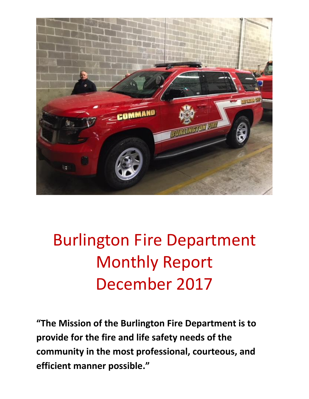

# Burlington Fire Department Monthly Report December 2017

**"The Mission of the Burlington Fire Department is to provide for the fire and life safety needs of the community in the most professional, courteous, and efficient manner possible."**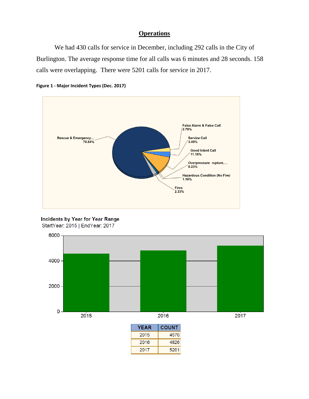### **Operations**

We had 430 calls for service in December, including 292 calls in the City of Burlington. The average response time for all calls was 6 minutes and 28 seconds. 158 calls were overlapping. There were 5201 calls for service in 2017.





**Incidents by Year for Year Range** StartYear: 2015 | EndYear: 2017

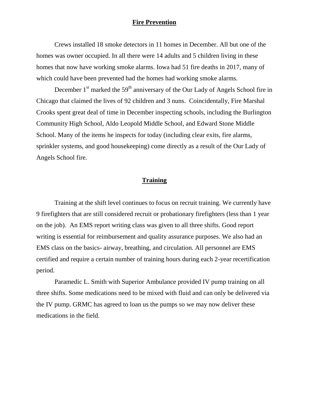### **Fire Prevention**

Crews installed 18 smoke detectors in 11 homes in December. All but one of the homes was owner occupied. In all there were 14 adults and 5 children living in these homes that now have working smoke alarms. Iowa had 51 fire deaths in 2017, many of which could have been prevented had the homes had working smoke alarms.

December  $1<sup>st</sup>$  marked the  $59<sup>th</sup>$  anniversary of the Our Lady of Angels School fire in Chicago that claimed the lives of 92 children and 3 nuns. Coincidentally, Fire Marshal Crooks spent great deal of time in December inspecting schools, including the Burlington Community High School, Aldo Leopold Middle School, and Edward Stone Middle School. Many of the items he inspects for today (including clear exits, fire alarms, sprinkler systems, and good housekeeping) come directly as a result of the Our Lady of Angels School fire.

#### **Training**

Training at the shift level continues to focus on recruit training. We currently have 9 firefighters that are still considered recruit or probationary firefighters (less than 1 year on the job). An EMS report writing class was given to all three shifts. Good report writing is essential for reimbursement and quality assurance purposes. We also had an EMS class on the basics- airway, breathing, and circulation. All personnel are EMS certified and require a certain number of training hours during each 2-year recertification period.

Paramedic L. Smith with Superior Ambulance provided IV pump training on all three shifts. Some medications need to be mixed with fluid and can only be delivered via the IV pump. GRMC has agreed to loan us the pumps so we may now deliver these medications in the field.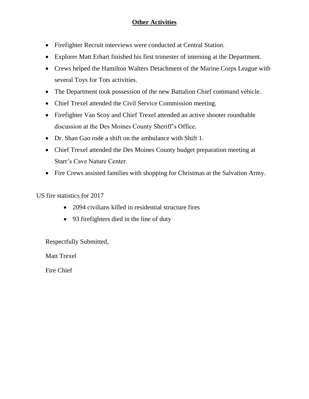### **Other Activities**

- Firefighter Recruit interviews were conducted at Central Station.
- Explorer Matt Erhart finished his first trimester of interning at the Department.
- Crews helped the Hamilton Walters Detachment of the Marine Corps League with several Toys for Tots activities.
- The Department took possession of the new Battalion Chief command vehicle.
- Chief Trexel attended the Civil Service Commission meeting.
- Firefighter Van Scoy and Chief Trexel attended an active shooter roundtable discussion at the Des Moines County Sheriff's Office.
- Dr. Shan Gao rode a shift on the ambulance with Shift 1.
- Chief Trexel attended the Des Moines County budget preparation meeting at Starr's Cave Nature Center.
- Fire Crews assisted families with shopping for Christmas at the Salvation Army.

US fire statistics for 2017

- 2094 civilians killed in residential structure fires
- 93 firefighters died in the line of duty

Respectfully Submitted,

Matt Trexel

Fire Chief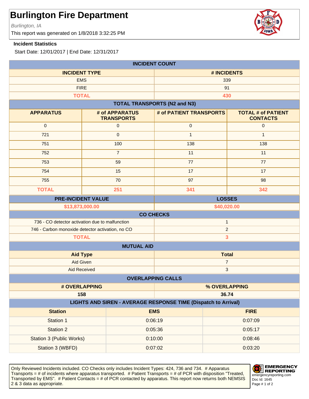Burlington, IA

This report was generated on 1/8/2018 3:32:25 PM

#### **Incident Statistics**

Start Date: 12/01/2017 | End Date: 12/31/2017

| <b>INCIDENT COUNT</b>                                                        |                                     |                                     |                                              |
|------------------------------------------------------------------------------|-------------------------------------|-------------------------------------|----------------------------------------------|
| <b>INCIDENT TYPE</b>                                                         |                                     | # INCIDENTS                         |                                              |
| <b>EMS</b>                                                                   |                                     | 339                                 |                                              |
| <b>FIRE</b>                                                                  |                                     | 91                                  |                                              |
|                                                                              | <b>TOTAL</b>                        | 430                                 |                                              |
|                                                                              |                                     | <b>TOTAL TRANSPORTS (N2 and N3)</b> |                                              |
| <b>APPARATUS</b>                                                             | # of APPARATUS<br><b>TRANSPORTS</b> | # of PATIENT TRANSPORTS             | <b>TOTAL # of PATIENT</b><br><b>CONTACTS</b> |
| $\mathbf 0$                                                                  | $\mathsf{O}\xspace$                 | $\pmb{0}$                           | $\mathbf 0$                                  |
| 721                                                                          | $\mathbf 0$                         | $\mathbf{1}$                        | $\mathbf{1}$                                 |
| 751                                                                          | 100                                 | 138                                 | 138                                          |
| 752                                                                          | $\overline{7}$                      | 11                                  | 11                                           |
| 753                                                                          | 59                                  | 77                                  | 77                                           |
| 754                                                                          | 15                                  | 17                                  | 17                                           |
| 755                                                                          | 70                                  | 97                                  | 98                                           |
| <b>TOTAL</b>                                                                 | 251                                 | 341                                 | 342                                          |
| <b>PRE-INCIDENT VALUE</b>                                                    |                                     | <b>LOSSES</b>                       |                                              |
| \$13,873,000.00                                                              |                                     | \$40,020.00                         |                                              |
|                                                                              |                                     | <b>CO CHECKS</b>                    |                                              |
| 736 - CO detector activation due to malfunction                              |                                     | $\mathbf{1}$                        |                                              |
| 746 - Carbon monoxide detector activation, no CO                             |                                     |                                     | $\overline{2}$                               |
| <b>TOTAL</b>                                                                 |                                     |                                     | 3                                            |
| <b>MUTUAL AID</b>                                                            |                                     |                                     |                                              |
| <b>Aid Type</b>                                                              |                                     | <b>Total</b>                        |                                              |
|                                                                              | Aid Given                           | $\overline{7}$<br>$\sqrt{3}$        |                                              |
| <b>Aid Received</b>                                                          |                                     |                                     |                                              |
|                                                                              |                                     | <b>OVERLAPPING CALLS</b>            |                                              |
| # OVERLAPPING                                                                |                                     | % OVERLAPPING<br>36.74              |                                              |
| 158<br><b>LIGHTS AND SIREN - AVERAGE RESPONSE TIME (Dispatch to Arrival)</b> |                                     |                                     |                                              |
| <b>Station</b>                                                               |                                     | <b>EMS</b>                          | <b>FIRE</b>                                  |
| Station 1                                                                    |                                     | 0:06:19                             | 0:07:09                                      |
| <b>Station 2</b>                                                             |                                     | 0:05:36                             | 0:05:17                                      |
| <b>Station 3 (Public Works)</b>                                              |                                     | 0:10:00                             | 0:08:46                                      |
| Station 3 (WBFD)                                                             |                                     | 0:07:02                             | 0:03:20                                      |
|                                                                              |                                     |                                     |                                              |

Only Reviewed Incidents included. CO Checks only includes Incident Types: 424, 736 and 734. # Apparatus Transports = # of incidents where apparatus transported. # Patient Transports = # of PCR with disposition "Treated, Transported by EMS". # Patient Contacts = # of PCR contacted by apparatus. This report now returns both NEMSIS 2 & 3 data as appropriate. The set of 2 set of 2 set of 2 set of 2 set of 2 set of 2 set of 2 set of 2 set of 2



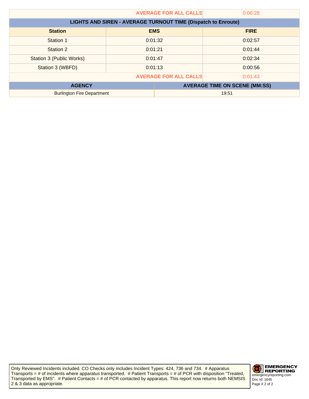| <b>AVERAGE FOR ALL CALLS</b>      |                                                                      |                              | 0:06:28                              |
|-----------------------------------|----------------------------------------------------------------------|------------------------------|--------------------------------------|
|                                   | <b>LIGHTS AND SIREN - AVERAGE TURNOUT TIME (Dispatch to Enroute)</b> |                              |                                      |
| <b>Station</b>                    |                                                                      | <b>EMS</b>                   | <b>FIRE</b>                          |
| Station 1                         | 0:01:32                                                              |                              | 0:02:57                              |
| Station 2                         | 0:01:21                                                              |                              | 0:01:44                              |
| Station 3 (Public Works)          | 0:01:47                                                              |                              | 0:02:34                              |
| Station 3 (WBFD)                  | 0:01:13                                                              |                              | 0:00:56                              |
|                                   |                                                                      | <b>AVERAGE FOR ALL CALLS</b> | 0:01:43                              |
| <b>AGENCY</b>                     |                                                                      |                              | <b>AVERAGE TIME ON SCENE (MM:SS)</b> |
| <b>Burlington Fire Department</b> |                                                                      |                              | 19:51                                |

Only Reviewed Incidents included. CO Checks only includes Incident Types: 424, 736 and 734. # Apparatus Transports = # of incidents where apparatus transported. # Patient Transports = # of PCR with disposition "Treated, Transported by EMS". # Patient Contacts = # of PCR contacted by apparatus. This report now returns both NEMSIS 2 & 3 data as appropriate.

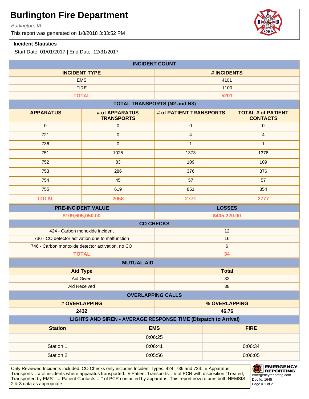Burlington, IA

This report was generated on 1/8/2018 3:33:52 PM

#### **Incident Statistics**

Start Date: 01/01/2017 | End Date: 12/31/2017

| <b>INCIDENT COUNT</b>                                          |                                     |                                     |                                              |
|----------------------------------------------------------------|-------------------------------------|-------------------------------------|----------------------------------------------|
| <b>INCIDENT TYPE</b>                                           |                                     | # INCIDENTS                         |                                              |
| <b>EMS</b>                                                     |                                     | 4101                                |                                              |
| <b>FIRE</b>                                                    |                                     |                                     | 1100                                         |
| <b>TOTAL</b>                                                   |                                     |                                     | 5201                                         |
|                                                                |                                     | <b>TOTAL TRANSPORTS (N2 and N3)</b> |                                              |
| <b>APPARATUS</b>                                               | # of APPARATUS<br><b>TRANSPORTS</b> | # of PATIENT TRANSPORTS             | <b>TOTAL # of PATIENT</b><br><b>CONTACTS</b> |
| $\pmb{0}$                                                      | $\mathsf{O}\xspace$                 | $\mathbf 0$                         | $\pmb{0}$                                    |
| 721                                                            | $\mathbf 0$                         | $\overline{4}$                      | $\overline{4}$                               |
| 736                                                            | $\mathbf{0}$                        | $\mathbf{1}$                        | $\mathbf{1}$                                 |
| 751                                                            | 1025                                | 1373                                | 1376                                         |
| 752                                                            | 83                                  | 109                                 | 109                                          |
| 753                                                            | 286                                 | 376                                 | 376                                          |
| 754                                                            | 45                                  | 57                                  | 57                                           |
| 755                                                            | 619                                 | 851                                 | 854                                          |
| <b>TOTAL</b>                                                   | 2058                                | 2771                                | 2777                                         |
| <b>PRE-INCIDENT VALUE</b><br><b>LOSSES</b>                     |                                     |                                     |                                              |
| \$109,605,050.00<br>\$405,220.00                               |                                     |                                     |                                              |
|                                                                |                                     | <b>CO CHECKS</b>                    |                                              |
| 424 - Carbon monoxide incident                                 |                                     |                                     | 12                                           |
| 736 - CO detector activation due to malfunction                |                                     |                                     | 16<br>$\,6\,$                                |
| 746 - Carbon monoxide detector activation, no CO               |                                     |                                     |                                              |
| <b>TOTAL</b><br>34                                             |                                     |                                     |                                              |
| <b>MUTUAL AID</b>                                              |                                     |                                     | <b>Total</b>                                 |
| <b>Aid Type</b><br>Aid Given                                   |                                     | 32                                  |                                              |
| Aid Received                                                   |                                     | 38                                  |                                              |
|                                                                |                                     | <b>OVERLAPPING CALLS</b>            |                                              |
| # OVERLAPPING<br>% OVERLAPPING                                 |                                     |                                     |                                              |
| 2432                                                           |                                     |                                     | 46.76                                        |
| LIGHTS AND SIREN - AVERAGE RESPONSE TIME (Dispatch to Arrival) |                                     |                                     |                                              |
| <b>Station</b>                                                 |                                     | <b>EMS</b>                          | <b>FIRE</b>                                  |
|                                                                |                                     | 0:06:25                             |                                              |
| Station 1                                                      |                                     | 0:06:41                             | 0:06:34                                      |
| <b>Station 2</b>                                               | 0:05:56                             |                                     | 0:06:05                                      |
|                                                                |                                     |                                     |                                              |

Only Reviewed Incidents included. CO Checks only includes Incident Types: 424, 736 and 734. # Apparatus Transports = # of incidents where apparatus transported. # Patient Transports = # of PCR with disposition "Treated, Transported by EMS". # Patient Contacts = # of PCR contacted by apparatus. This report now returns both NEMSIS 2 & 3 data as appropriate. The set of 2 set of 2 set of 2 set of 2 set of 2 set of 2 set of 2 set of 2 set of 2



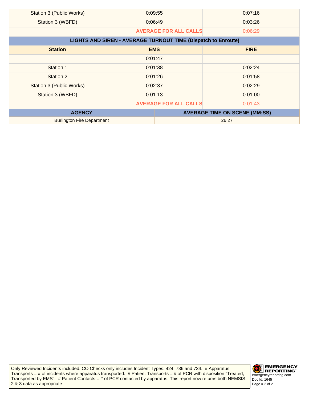| Station 3 (Public Works)          | 0:09:55                                                              |                              | 0:07:16                              |
|-----------------------------------|----------------------------------------------------------------------|------------------------------|--------------------------------------|
| Station 3 (WBFD)                  | 0:06:49                                                              |                              | 0:03:26                              |
|                                   |                                                                      | <b>AVERAGE FOR ALL CALLS</b> | 0:06:29                              |
|                                   | <b>LIGHTS AND SIREN - AVERAGE TURNOUT TIME (Dispatch to Enroute)</b> |                              |                                      |
| <b>Station</b>                    | <b>EMS</b>                                                           |                              | <b>FIRE</b>                          |
|                                   | 0:01:47                                                              |                              |                                      |
| Station 1                         | 0:01:38                                                              |                              | 0:02:24                              |
| Station 2                         | 0:01:26                                                              |                              | 0:01:58                              |
| Station 3 (Public Works)          | 0:02:37                                                              |                              | 0:02:29                              |
| Station 3 (WBFD)                  | 0:01:13                                                              |                              | 0:01:00                              |
|                                   |                                                                      | <b>AVERAGE FOR ALL CALLS</b> | 0:01:43                              |
| <b>AGENCY</b>                     |                                                                      |                              | <b>AVERAGE TIME ON SCENE (MM:SS)</b> |
| <b>Burlington Fire Department</b> |                                                                      |                              | 26:27                                |

Only Reviewed Incidents included. CO Checks only includes Incident Types: 424, 736 and 734. # Apparatus Transports = # of incidents where apparatus transported. # Patient Transports = # of PCR with disposition "Treated, Transported by EMS". # Patient Contacts = # of PCR contacted by apparatus. This report now returns both NEMSIS 2 & 3 data as appropriate.

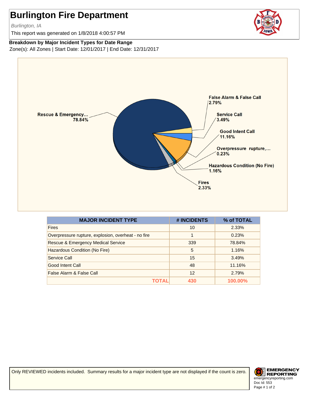Burlington, IA

This report was generated on 1/8/2018 4:00:57 PM



**Breakdown by Major Incident Types for Date Range**

Zone(s): All Zones | Start Date: 12/01/2017 | End Date: 12/31/2017



| <b>MAJOR INCIDENT TYPE</b>                          | # INCIDENTS | % of TOTAL |
|-----------------------------------------------------|-------------|------------|
| <b>Fires</b>                                        | 10          | 2.33%      |
| Overpressure rupture, explosion, overheat - no fire | 1           | 0.23%      |
| <b>Rescue &amp; Emergency Medical Service</b>       | 339         | 78.84%     |
| Hazardous Condition (No Fire)                       | 5           | 1.16%      |
| Service Call                                        | 15          | 3.49%      |
| <b>Good Intent Call</b>                             | 48          | 11.16%     |
| False Alarm & False Call                            | 12          | 2.79%      |
|                                                     | 430         | 100.00%    |

Only REVIEWED incidents included. Summary results for a major incident type are not displayed if the count is zero.

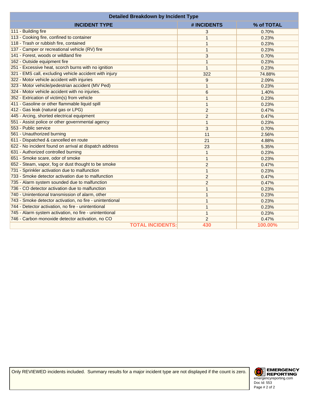| <b>Detailed Breakdown by Incident Type</b>               |                  |            |
|----------------------------------------------------------|------------------|------------|
| <b>INCIDENT TYPE</b>                                     | # INCIDENTS      | % of TOTAL |
| 111 - Building fire                                      | 3                | 0.70%      |
| 113 - Cooking fire, confined to container                | 1                | 0.23%      |
| 118 - Trash or rubbish fire, contained                   | $\mathbf{1}$     | 0.23%      |
| 137 - Camper or recreational vehicle (RV) fire           | $\mathbf{1}$     | 0.23%      |
| 141 - Forest, woods or wildland fire                     | 3                | 0.70%      |
| 162 - Outside equipment fire                             | 1                | 0.23%      |
| 251 - Excessive heat, scorch burns with no ignition      | $\mathbf{1}$     | 0.23%      |
| 321 - EMS call, excluding vehicle accident with injury   | 322              | 74.88%     |
| 322 - Motor vehicle accident with injuries               | $\boldsymbol{9}$ | 2.09%      |
| 323 - Motor vehicle/pedestrian accident (MV Ped)         | 1                | 0.23%      |
| 324 - Motor vehicle accident with no injuries.           | 6                | 1.40%      |
| 352 - Extrication of victim(s) from vehicle              | 1                | 0.23%      |
| 411 - Gasoline or other flammable liquid spill           | $\mathbf{1}$     | 0.23%      |
| 412 - Gas leak (natural gas or LPG)                      | $\overline{c}$   | 0.47%      |
| 445 - Arcing, shorted electrical equipment               | $\overline{2}$   | 0.47%      |
| 551 - Assist police or other governmental agency         | 1                | 0.23%      |
| 553 - Public service                                     | 3                | 0.70%      |
| 561 - Unauthorized burning                               | 11               | 2.56%      |
| 611 - Dispatched & cancelled en route                    | 21               | 4.88%      |
| 622 - No incident found on arrival at dispatch address   | 23               | 5.35%      |
| 631 - Authorized controlled burning                      | $\mathbf{1}$     | 0.23%      |
| 651 - Smoke scare, odor of smoke                         | $\mathbf{1}$     | 0.23%      |
| 652 - Steam, vapor, fog or dust thought to be smoke      | $\overline{2}$   | 0.47%      |
| 731 - Sprinkler activation due to malfunction            | $\mathbf{1}$     | 0.23%      |
| 733 - Smoke detector activation due to malfunction       | $\overline{c}$   | 0.47%      |
| 735 - Alarm system sounded due to malfunction            | $\overline{2}$   | 0.47%      |
| 736 - CO detector activation due to malfunction          | 1                | 0.23%      |
| 740 - Unintentional transmission of alarm, other         | 1                | 0.23%      |
| 743 - Smoke detector activation, no fire - unintentional | 1                | 0.23%      |
| 744 - Detector activation, no fire - unintentional       | $\mathbf{1}$     | 0.23%      |
| 745 - Alarm system activation, no fire - unintentional   | $\mathbf{1}$     | 0.23%      |
| 746 - Carbon monoxide detector activation, no CO         | $\overline{c}$   | 0.47%      |
| <b>TOTAL INCIDENTS:</b>                                  | 430              | 100.00%    |

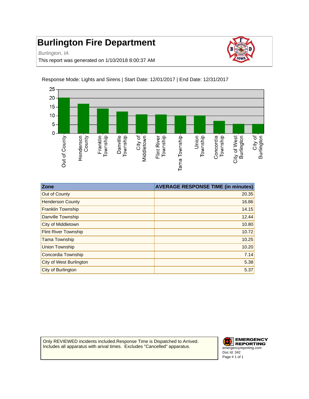Burlington, IA

This report was generated on 1/10/2018 8:00:37 AM



Response Mode: Lights and Sirens | Start Date: 12/01/2017 | End Date: 12/31/2017

| Zone                        | <b>AVERAGE RESPONSE TIME (in minutes)</b> |
|-----------------------------|-------------------------------------------|
| Out of County               | 20.35                                     |
| <b>Henderson County</b>     | 16.86                                     |
| <b>Franklin Township</b>    | 14.15                                     |
| Danville Township           | 12.44                                     |
| City of Middletown          | 10.80                                     |
| <b>Flint River Township</b> | 10.72                                     |
| <b>Tama Township</b>        | 10.25                                     |
| <b>Union Township</b>       | 10.20                                     |
| Concordia Township          | 7.14                                      |
| City of West Burlington     | 5.38                                      |
| City of Burlington          | 5.37                                      |

Only REVIEWED incidents included.Response Time is Dispatched to Arrived. Includes all apparatus with arival times. Excludes "Cancelled" apparatus.

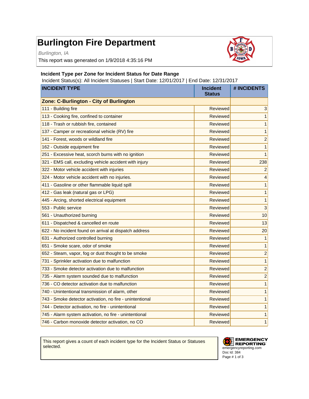Burlington, IA

This report was generated on 1/9/2018 4:35:16 PM



#### **Incident Type per Zone for Incident Status for Date Range**

Incident Status(s): All Incident Statuses | Start Date: 12/01/2017 | End Date: 12/31/2017

| <b>INCIDENT TYPE</b>                                     | <b>Incident</b><br><b>Status</b> | # INCIDENTS             |
|----------------------------------------------------------|----------------------------------|-------------------------|
| Zone: C-Burlington - City of Burlington                  |                                  |                         |
| 111 - Building fire                                      | Reviewed                         | 3                       |
| 113 - Cooking fire, confined to container                | Reviewed                         | 1                       |
| 118 - Trash or rubbish fire, contained                   | Reviewed                         | $\mathbf{1}$            |
| 137 - Camper or recreational vehicle (RV) fire           | Reviewed                         | $\mathbf{1}$            |
| 141 - Forest, woods or wildland fire                     | Reviewed                         | $\overline{\mathbf{c}}$ |
| 162 - Outside equipment fire                             | Reviewed                         | $\mathbf{1}$            |
| 251 - Excessive heat, scorch burns with no ignition      | Reviewed                         | $\mathbf{1}$            |
| 321 - EMS call, excluding vehicle accident with injury   | Reviewed                         | 238                     |
| 322 - Motor vehicle accident with injuries               | Reviewed                         | $\overline{2}$          |
| 324 - Motor vehicle accident with no injuries.           | Reviewed                         | $\overline{4}$          |
| 411 - Gasoline or other flammable liquid spill           | Reviewed                         | $\mathbf{1}$            |
| 412 - Gas leak (natural gas or LPG)                      | Reviewed                         | 1                       |
| 445 - Arcing, shorted electrical equipment               | Reviewed                         | $\mathbf{1}$            |
| 553 - Public service                                     | Reviewed                         | 3                       |
| 561 - Unauthorized burning                               | Reviewed                         | 10                      |
| 611 - Dispatched & cancelled en route                    | Reviewed                         | 13                      |
| 622 - No incident found on arrival at dispatch address   | Reviewed                         | 20                      |
| 631 - Authorized controlled burning                      | Reviewed                         | $\mathbf{1}$            |
| 651 - Smoke scare, odor of smoke                         | Reviewed                         | $\mathbf{1}$            |
| 652 - Steam, vapor, fog or dust thought to be smoke      | Reviewed                         | $\overline{c}$          |
| 731 - Sprinkler activation due to malfunction            | Reviewed                         | $\mathbf{1}$            |
| 733 - Smoke detector activation due to malfunction       | Reviewed                         | $\overline{c}$          |
| 735 - Alarm system sounded due to malfunction            | Reviewed                         | $\overline{\mathbf{c}}$ |
| 736 - CO detector activation due to malfunction          | Reviewed                         | 1                       |
| 740 - Unintentional transmission of alarm, other         | Reviewed                         | $\mathbf{1}$            |
| 743 - Smoke detector activation, no fire - unintentional | Reviewed                         | 1                       |
| 744 - Detector activation, no fire - unintentional       | Reviewed                         | 1                       |
| 745 - Alarm system activation, no fire - unintentional   | Reviewed                         | 1                       |
| 746 - Carbon monoxide detector activation, no CO         | Reviewed                         | $\mathbf{1}$            |

This report gives a count of each incident type for the Incident Status or Statuses selected.

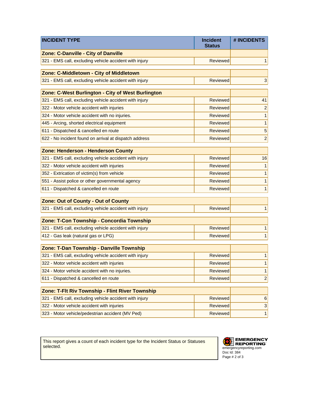| <b>INCIDENT TYPE</b>                                   | <b>Incident</b><br><b>Status</b> | # INCIDENTS               |
|--------------------------------------------------------|----------------------------------|---------------------------|
| <b>Zone: C-Danville - City of Danville</b>             |                                  |                           |
| 321 - EMS call, excluding vehicle accident with injury | Reviewed                         | 1                         |
| Zone: C-Middletown - City of Middletown                |                                  |                           |
| 321 - EMS call, excluding vehicle accident with injury | <b>Reviewed</b>                  | $\ensuremath{\mathsf{3}}$ |
| Zone: C-West Burlington - City of West Burlington      |                                  |                           |
| 321 - EMS call, excluding vehicle accident with injury | Reviewed                         | 41                        |
| 322 - Motor vehicle accident with injuries             | Reviewed                         | $\overline{\mathbf{c}}$   |
| 324 - Motor vehicle accident with no injuries.         | <b>Reviewed</b>                  | $\mathbf 1$               |
| 445 - Arcing, shorted electrical equipment             | Reviewed                         | $\mathbf 1$               |
| 611 - Dispatched & cancelled en route                  | <b>Reviewed</b>                  | 5                         |
| 622 - No incident found on arrival at dispatch address | <b>Reviewed</b>                  | $\overline{c}$            |
|                                                        |                                  |                           |
| Zone: Henderson - Henderson County                     |                                  |                           |
| 321 - EMS call, excluding vehicle accident with injury | Reviewed                         | 16                        |
| 322 - Motor vehicle accident with injuries             | <b>Reviewed</b>                  | 1                         |
| 352 - Extrication of victim(s) from vehicle            | Reviewed                         | $\mathbf{1}$              |
| 551 - Assist police or other governmental agency       | Reviewed                         | 1                         |
| 611 - Dispatched & cancelled en route                  | <b>Reviewed</b>                  | 1                         |
| Zone: Out of County - Out of County                    |                                  |                           |
| 321 - EMS call, excluding vehicle accident with injury | <b>Reviewed</b>                  | $\mathbf 1$               |
| Zone: T-Con Township - Concordia Township              |                                  |                           |
| 321 - EMS call, excluding vehicle accident with injury | Reviewed                         | 1                         |
| 412 - Gas leak (natural gas or LPG)                    | Reviewed                         | 1                         |
| Zone: T-Dan Township - Danville Township               |                                  |                           |
| 321 - EMS call, excluding vehicle accident with injury | <b>Reviewed</b>                  | 1                         |
| 322 - Motor vehicle accident with injuries             | Reviewed                         | 1                         |
| 324 - Motor vehicle accident with no injuries.         | Reviewed                         | 1                         |
| 611 - Dispatched & cancelled en route                  | Reviewed                         | $\overline{c}$            |
|                                                        |                                  |                           |
| Zone: T-FIt Riv Township - Flint River Township        |                                  |                           |
| 321 - EMS call, excluding vehicle accident with injury | Reviewed                         | 6                         |
| 322 - Motor vehicle accident with injuries             | Reviewed                         | 3                         |
| 323 - Motor vehicle/pedestrian accident (MV Ped)       | Reviewed                         | $\mathbf{1}$              |

This report gives a count of each incident type for the Incident Status or Statuses selected.

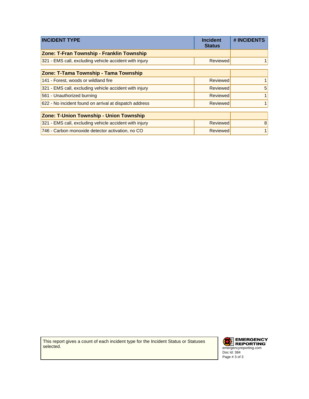| <b>INCIDENT TYPE</b>                                   | <b>Incident</b><br><b>Status</b> | # INCIDENTS |
|--------------------------------------------------------|----------------------------------|-------------|
| Zone: T-Fran Township - Franklin Township              |                                  |             |
| 321 - EMS call, excluding vehicle accident with injury | Reviewed                         |             |
| Zone: T-Tama Township - Tama Township                  |                                  |             |
| 141 - Forest, woods or wildland fire                   | Reviewed                         |             |
| 321 - EMS call, excluding vehicle accident with injury | <b>Reviewed</b>                  | 5           |
| 561 - Unauthorized burning                             | <b>Reviewed</b>                  |             |
| 622 - No incident found on arrival at dispatch address | Reviewed                         |             |
|                                                        |                                  |             |
| <b>Zone: T-Union Township - Union Township</b>         |                                  |             |
| 321 - EMS call, excluding vehicle accident with injury | Reviewed                         | 8           |
| 746 - Carbon monoxide detector activation, no CO       | Reviewed                         |             |

This report gives a count of each incident type for the Incident Status or Statuses selected.

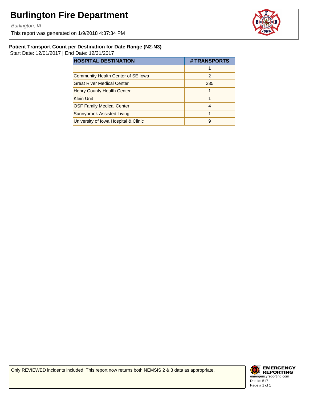Burlington, IA

This report was generated on 1/9/2018 4:37:34 PM



#### **Patient Transport Count per Destination for Date Range (N2-N3)**

Start Date: 12/01/2017 | End Date: 12/31/2017

| <b>HOSPITAL DESTINATION</b>          | # TRANSPORTS  |
|--------------------------------------|---------------|
|                                      |               |
| Community Health Center of SE Iowa   | $\mathcal{P}$ |
| <b>Great River Medical Center</b>    | 235           |
| Henry County Health Center           |               |
| <b>Klein Unit</b>                    |               |
| <b>OSF Family Medical Center</b>     | 4             |
| Sunnybrook Assisted Living           |               |
| University of Iowa Hospital & Clinic | 9             |

Only REVIEWED incidents included. This report now returns both NEMSIS 2 & 3 data as appropriate.

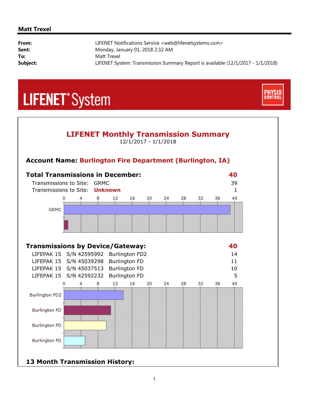#### **Matt Trexel**

| From:    | LIFENET Notifications Service <web@lifenetsystems.com></web@lifenetsystems.com> |
|----------|---------------------------------------------------------------------------------|
| Sent:    | Monday, January 01, 2018 2:32 AM                                                |
| To:      | Matt Trexel                                                                     |
| Subject: | LIFENET System: Transmission Summary Report is available (12/1/2017 - 1/1/2018) |

**CONTRO** 

## **LIFENET**<sup>\*</sup>System